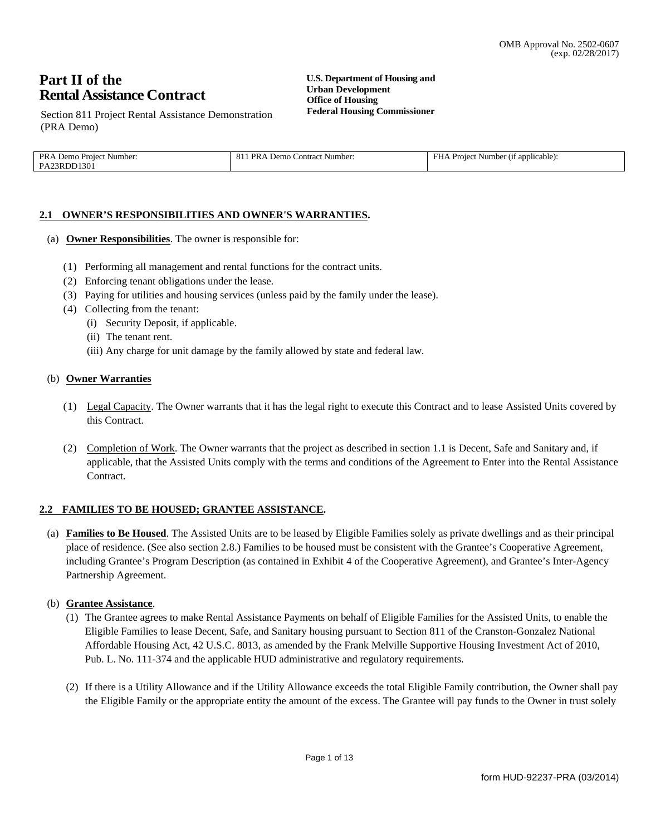# Part II of the **Rental Assistance Contract**

**U.S. Department of Housing and Urban Development Office of Housing Federal Housing Commissioner** 

Section 811 Project Rental Assistance Demonstration (PRA Demo)

| PRA<br>Demo<br>Number:<br><b>Project</b> | PR<br>A Demo<br>Number.<br>.Contract<br>_ი. | Number (if applicable):<br>нн<br>Project. |
|------------------------------------------|---------------------------------------------|-------------------------------------------|
| PA23RDD1301                              |                                             |                                           |

### 2.1 OWNER'S RESPONSIBILITIES AND OWNER'S WARRANTIES.

- (a) Owner Responsibilities. The owner is responsible for:
	- (1) Performing all management and rental functions for the contract units.
	- (2) Enforcing tenant obligations under the lease.
	- (3) Paying for utilities and housing services (unless paid by the family under the lease).
	- (4) Collecting from the tenant:
		- (i) Security Deposit, if applicable.
		- (ii) The tenant rent.
		- (iii) Any charge for unit damage by the family allowed by state and federal law.

#### (b) Owner Warranties

- (1) Legal Capacity. The Owner warrants that it has the legal right to execute this Contract and to lease Assisted Units covered by this Contract.
- (2) Completion of Work. The Owner warrants that the project as described in section 1.1 is Decent, Safe and Sanitary and, if applicable, that the Assisted Units comply with the terms and conditions of the Agreement to Enter into the Rental Assistance Contract.

### 2.2 FAMILIES TO BE HOUSED; GRANTEE ASSISTANCE.

(a) Families to Be Housed. The Assisted Units are to be leased by Eligible Families solely as private dwellings and as their principal place of residence. (See also section 2.8.) Families to be housed must be consistent with the Grantee's Cooperative Agreement, including Grantee's Program Description (as contained in Exhibit 4 of the Cooperative Agreement), and Grantee's Inter-Agency Partnership Agreement.

### (b) Grantee Assistance.

- (1) The Grantee agrees to make Rental Assistance Payments on behalf of Eligible Families for the Assisted Units, to enable the Eligible Families to lease Decent, Safe, and Sanitary housing pursuant to Section 811 of the Cranston-Gonzalez National Affordable Housing Act, 42 U.S.C. 8013, as amended by the Frank Melville Supportive Housing Investment Act of 2010, Pub. L. No. 111-374 and the applicable HUD administrative and regulatory requirements.
- (2) If there is a Utility Allowance and if the Utility Allowance exceeds the total Eligible Family contribution, the Owner shall pay the Eligible Family or the appropriate entity the amount of the excess. The Grantee will pay funds to the Owner in trust solely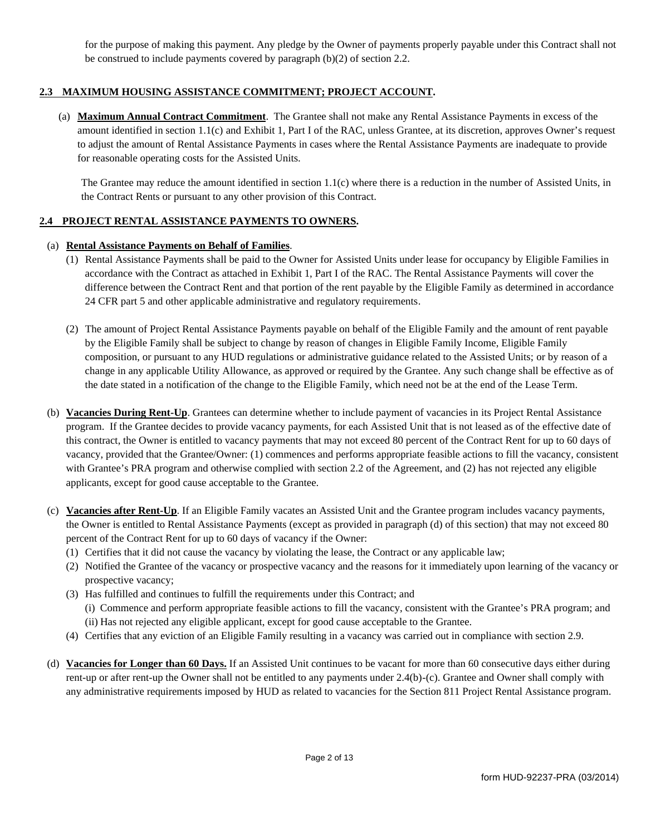for the purpose of making this payment. Any pledge by the Owner of payments properly payable under this Contract shall not be construed to include payments covered by paragraph  $(b)(2)$  of section 2.2.

# 2.3 MAXIMUM HOUSING ASSISTANCE COMMITMENT; PROJECT ACCOUNT.

(a) Maximum Annual Contract Commitment. The Grantee shall not make any Rental Assistance Payments in excess of the amount identified in section 1.1(c) and Exhibit 1, Part I of the RAC, unless Grantee, at its discretion, approves Owner's request to adjust the amount of Rental Assistance Payments in cases where the Rental Assistance Payments are inadequate to provide for reasonable operating costs for the Assisted Units.

The Grantee may reduce the amount identified in section 1.1(c) where there is a reduction in the number of Assisted Units, in the Contract Rents or pursuant to any other provision of this Contract.

### 2.4 PROJECT RENTAL ASSISTANCE PAYMENTS TO OWNERS.

### (a) Rental Assistance Payments on Behalf of Families.

- (1) Rental Assistance Payments shall be paid to the Owner for Assisted Units under lease for occupancy by Eligible Families in accordance with the Contract as attached in Exhibit 1, Part I of the RAC. The Rental Assistance Payments will cover the difference between the Contract Rent and that portion of the rent payable by the Eligible Family as determined in accordance 24 CFR part 5 and other applicable administrative and regulatory requirements.
- (2) The amount of Project Rental Assistance Payments payable on behalf of the Eligible Family and the amount of rent payable by the Eligible Family shall be subject to change by reason of changes in Eligible Family Income, Eligible Family composition, or pursuant to any HUD regulations or administrative guidance related to the Assisted Units; or by reason of a change in any applicable Utility Allowance, as approved or required by the Grantee. Any such change shall be effective as of the date stated in a notification of the change to the Eligible Family, which need not be at the end of the Lease Term.
- (b) Vacancies During Rent-Up. Grantees can determine whether to include payment of vacancies in its Project Rental Assistance program. If the Grantee decides to provide vacancy payments, for each Assisted Unit that is not leased as of the effective date of this contract, the Owner is entitled to vacancy payments that may not exceed 80 percent of the Contract Rent for up to 60 days of vacancy, provided that the Grantee/Owner: (1) commences and performs appropriate feasible actions to fill the vacancy, consistent with Grantee's PRA program and otherwise complied with section 2.2 of the Agreement, and (2) has not rejected any eligible applicants, except for good cause acceptable to the Grantee.
- (c) Vacancies after Rent-Up. If an Eligible Family vacates an Assisted Unit and the Grantee program includes vacancy payments, the Owner is entitled to Rental Assistance Payments (except as provided in paragraph (d) of this section) that may not exceed 80 percent of the Contract Rent for up to 60 days of vacancy if the Owner:
	- (1) Certifies that it did not cause the vacancy by violating the lease, the Contract or any applicable law;
	- (2) Notified the Grantee of the vacancy or prospective vacancy and the reasons for it immediately upon learning of the vacancy or prospective vacancy;
	- (3) Has fulfilled and continues to fulfill the requirements under this Contract; and
		- (i) Commence and perform appropriate feasible actions to fill the vacancy, consistent with the Grantee's PRA program; and
		- (ii) Has not rejected any eligible applicant, except for good cause acceptable to the Grantee.
	- (4) Certifies that any eviction of an Eligible Family resulting in a vacancy was carried out in compliance with section 2.9.
- (d) Vacancies for Longer than 60 Days. If an Assisted Unit continues to be vacant for more than 60 consecutive days either during rent-up or after rent-up the Owner shall not be entitled to any payments under 2.4(b)-(c). Grantee and Owner shall comply with any administrative requirements imposed by HUD as related to vacancies for the Section 811 Project Rental Assistance program.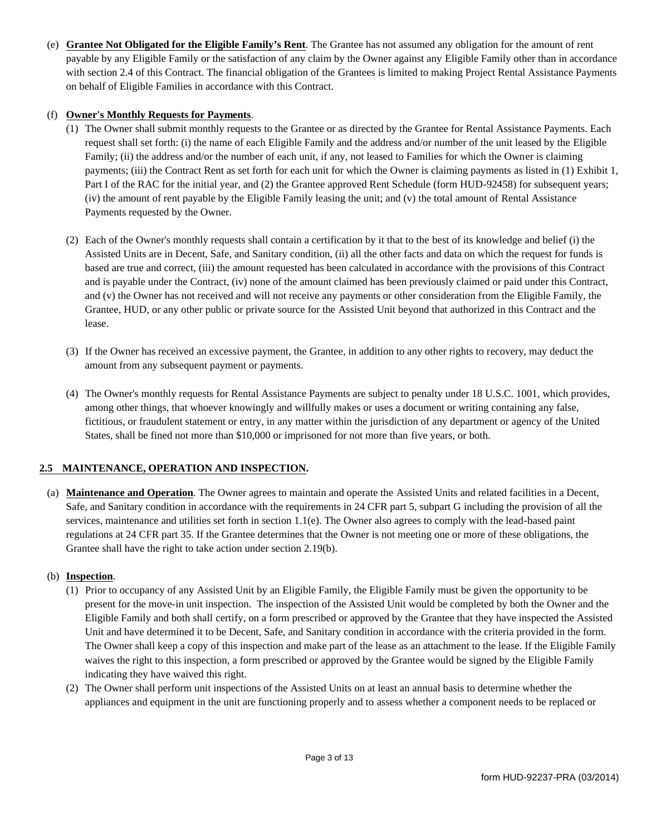(e) Grantee Not Obligated for the Eligible Family's Rent. The Grantee has not assumed any obligation for the amount of rent payable by any Eligible Family or the satisfaction of any claim by the Owner against any Eligible Family other than in accordance with section 2.4 of this Contract. The financial obligation of the Grantees is limited to making Project Rental Assistance Payments on behalf of Eligible Families in accordance with this Contract.

### (f) Owner's Monthly Requests for Payments.

- (1) The Owner shall submit monthly requests to the Grantee or as directed by the Grantee for Rental Assistance Payments. Each request shall set forth: (i) the name of each Eligible Family and the address and/or number of the unit leased by the Eligible Family; (ii) the address and/or the number of each unit, if any, not leased to Families for which the Owner is claiming payments; (iii) the Contract Rent as set forth for each unit for which the Owner is claiming payments as listed in (1) Exhibit 1, Part I of the RAC for the initial year, and (2) the Grantee approved Rent Schedule (form HUD-92458) for subsequent years; (iv) the amount of rent payable by the Eligible Family leasing the unit; and (v) the total amount of Rental Assistance Payments requested by the Owner.
- (2) Each of the Owner's monthly requests shall contain a certification by it that to the best of its knowledge and belief (i) the Assisted Units are in Decent, Safe, and Sanitary condition, (ii) all the other facts and data on which the request for funds is based are true and correct, (iii) the amount requested has been calculated in accordance with the provisions of this Contract and is payable under the Contract, (iv) none of the amount claimed has been previously claimed or paid under this Contract, and (v) the Owner has not received and will not receive any payments or other consideration from the Eligible Family, the Grantee, HUD, or any other public or private source for the Assisted Unit beyond that authorized in this Contract and the lease.
- (3) If the Owner has received an excessive payment, the Grantee, in addition to any other rights to recovery, may deduct the amount from any subsequent payment or payments.
- (4) The Owner's monthly requests for Rental Assistance Payments are subject to penalty under 18 U.S.C. 1001, which provides, among other things, that whoever knowingly and willfully makes or uses a document or writing containing any false, fictitious, or fraudulent statement or entry, in any matter within the jurisdiction of any department or agency of the United States, shall be fined not more than \$10,000 or imprisoned for not more than five years, or both.

### 2.5 MAINTENANCE, OPERATION AND INSPECTION.

(a) Maintenance and Operation. The Owner agrees to maintain and operate the Assisted Units and related facilities in a Decent, Safe, and Sanitary condition in accordance with the requirements in 24 CFR part 5, subpart G including the provision of all the services, maintenance and utilities set forth in section  $1.1(e)$ . The Owner also agrees to comply with the lead-based paint regulations at 24 CFR part 35. If the Grantee determines that the Owner is not meeting one or more of these obligations, the Grantee shall have the right to take action under section 2.19(b).

### (b) Inspection.

- (1) Prior to occupancy of any Assisted Unit by an Eligible Family, the Eligible Family must be given the opportunity to be present for the move-in unit inspection. The inspection of the Assisted Unit would be completed by both the Owner and the Eligible Family and both shall certify, on a form prescribed or approved by the Grantee that they have inspected the Assisted Unit and have determined it to be Decent, Safe, and Sanitary condition in accordance with the criteria provided in the form. The Owner shall keep a copy of this inspection and make part of the lease as an attachment to the lease. If the Eligible Family waives the right to this inspection, a form prescribed or approved by the Grantee would be signed by the Eligible Family indicating they have waived this right.
- (2) The Owner shall perform unit inspections of the Assisted Units on at least an annual basis to determine whether the appliances and equipment in the unit are functioning properly and to assess whether a component needs to be replaced or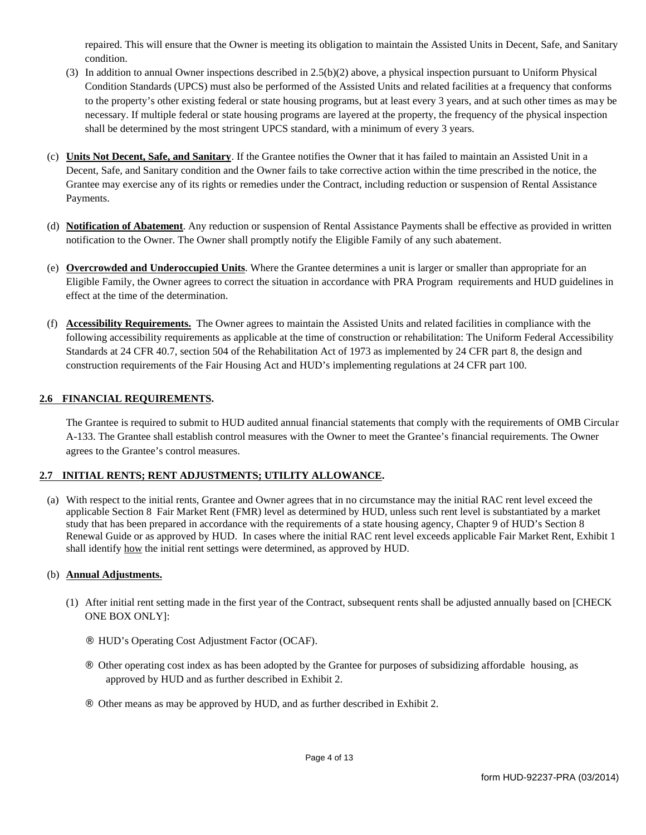repaired. This will ensure that the Owner is meeting its obligation to maintain the Assisted Units in Decent, Safe, and Sanitary condition.

- (3) In addition to annual Owner inspections described in  $2.5(b)(2)$  above, a physical inspection pursuant to Uniform Physical Condition Standards (UPCS) must also be performed of the Assisted Units and related facilities at a frequency that conforms to the property's other existing federal or state housing programs, but at least every 3 years, and at such other times as may be necessary. If multiple federal or state housing programs are layered at the property, the frequency of the physical inspection shall be determined by the most stringent UPCS standard, with a minimum of every 3 years.
- (c) Units Not Decent, Safe, and Sanitary. If the Grantee notifies the Owner that it has failed to maintain an Assisted Unit in a Decent, Safe, and Sanitary condition and the Owner fails to take corrective action within the time prescribed in the notice, the Grantee may exercise any of its rights or remedies under the Contract, including reduction or suspension of Rental Assistance Payments.
- (d) Notification of Abatement. Any reduction or suspension of Rental Assistance Payments shall be effective as provided in written notification to the Owner. The Owner shall promptly notify the Eligible Family of any such abatement.
- (e) Overcrowded and Underoccupied Units. Where the Grantee determines a unit is larger or smaller than appropriate for an Eligible Family, the Owner agrees to correct the situation in accordance with PRA Program requirements and HUD guidelines in effect at the time of the determination.
- (f) Accessibility Requirements. The Owner agrees to maintain the Assisted Units and related facilities in compliance with the following accessibility requirements as applicable at the time of construction or rehabilitation: The Uniform Federal Accessibility Standards at 24 CFR 40.7, section 504 of the Rehabilitation Act of 1973 as implemented by 24 CFR part 8, the design and construction requirements of the Fair Housing Act and HUD's implementing regulations at 24 CFR part 100.

### 2.6 FINANCIAL REQUIREMENTS.

The Grantee is required to submit to HUD audited annual financial statements that comply with the requirements of OMB Circular A-133. The Grantee shall establish control measures with the Owner to meet the Grantee's financial requirements. The Owner agrees to the Grantee's control measures.

### 2.7 INITIAL RENTS; RENT ADJUSTMENTS; UTILITY ALLOWANCE.

(a) With respect to the initial rents, Grantee and Owner agrees that in no circumstance may the initial RAC rent level exceed the applicable Section 8 Fair Market Rent (FMR) level as determined by HUD, unless such rent level is substantiated by a market study that has been prepared in accordance with the requirements of a state housing agency, Chapter 9 of HUD's Section 8 Renewal Guide or as approved by HUD. In cases where the initial RAC rent level exceeds applicable Fair Market Rent, Exhibit 1 shall identify how the initial rent settings were determined, as approved by HUD.

### (b) Annual Adjustments.

- (1) After initial rent setting made in the first year of the Contract, subsequent rents shall be adjusted annually based on [CHECK **ONE BOX ONLY]:** 
	- HUD's Operating Cost Adjustment Factor (OCAF).
	- Other operating cost index as has been adopted by the Grantee for purposes of subsidizing affordable housing, as approved by HUD and as further described in Exhibit 2.
	- Other means as may be approved by HUD, and as further described in Exhibit 2.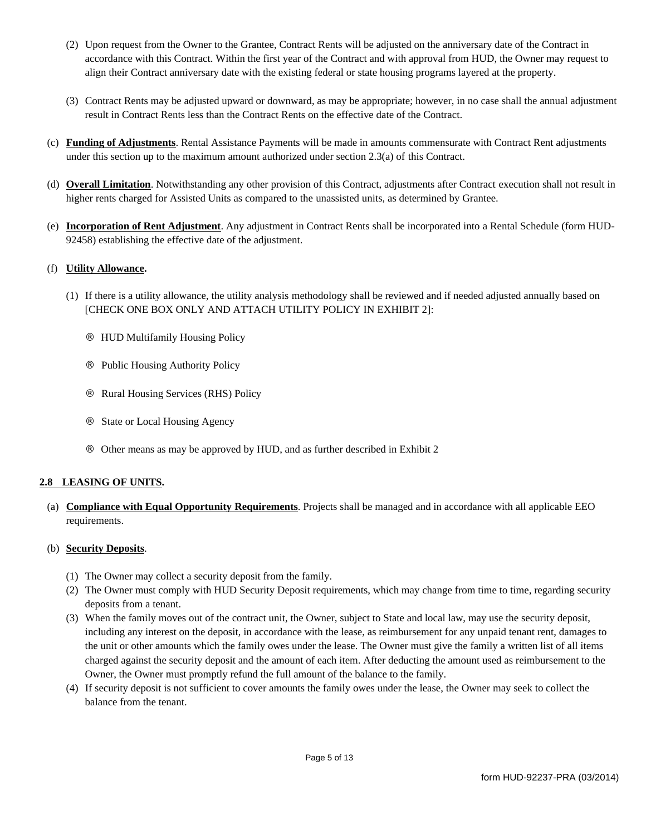- (2) Upon request from the Owner to the Grantee, Contract Rents will be adjusted on the anniversary date of the Contract in accordance with this Contract. Within the first year of the Contract and with approval from HUD, the Owner may request to align their Contract anniversary date with the existing federal or state housing programs layered at the property.
- (3) Contract Rents may be adjusted upward or downward, as may be appropriate; however, in no case shall the annual adjustment result in Contract Rents less than the Contract Rents on the effective date of the Contract.
- (c) Funding of Adjustments. Rental Assistance Payments will be made in amounts commensurate with Contract Rent adjustments under this section up to the maximum amount authorized under section  $2.3(a)$  of this Contract.
- (d) Overall Limitation. Notwithstanding any other provision of this Contract, adjustments after Contract execution shall not result in higher rents charged for Assisted Units as compared to the unassisted units, as determined by Grantee.
- (e) Incorporation of Rent Adjustment. Any adjustment in Contract Rents shall be incorporated into a Rental Schedule (form HUD-92458) establishing the effective date of the adjustment.

### (f) Utility Allowance.

- (1) If there is a utility allowance, the utility analysis methodology shall be reviewed and if needed adjusted annually based on [CHECK ONE BOX ONLY AND ATTACH UTILITY POLICY IN EXHIBIT 2]:
	- **HUD Multifamily Housing Policy**
	- Public Housing Authority Policy
	- Rural Housing Services (RHS) Policy
	- **State or Local Housing Agency**
	- Other means as may be approved by HUD, and as further described in Exhibit 2

### 2.8 LEASING OF UNITS.

(a) Compliance with Equal Opportunity Requirements. Projects shall be managed and in accordance with all applicable EEO requirements.

### (b) Security Deposits.

- (1) The Owner may collect a security deposit from the family.
- (2) The Owner must comply with HUD Security Deposit requirements, which may change from time to time, regarding security deposits from a tenant.
- (3) When the family moves out of the contract unit, the Owner, subject to State and local law, may use the security deposit, including any interest on the deposit, in accordance with the lease, as reimbursement for any unpaid tenant rent, damages to the unit or other amounts which the family owes under the lease. The Owner must give the family a written list of all items charged against the security deposit and the amount of each item. After deducting the amount used as reimbursement to the Owner, the Owner must promptly refund the full amount of the balance to the family.
- (4) If security deposit is not sufficient to cover amounts the family owes under the lease, the Owner may seek to collect the balance from the tenant.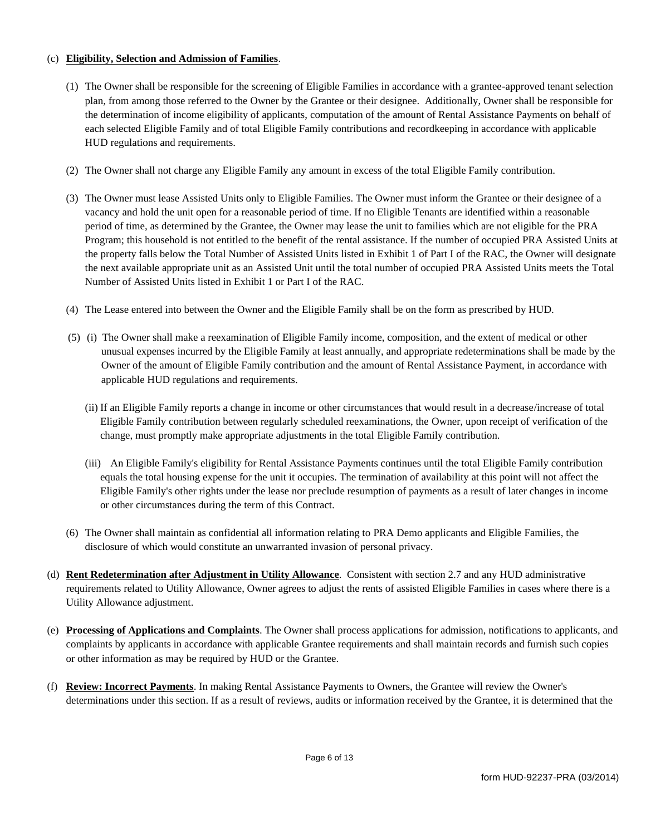### (c) Eligibility, Selection and Admission of Families.

- (1) The Owner shall be responsible for the screening of Eligible Families in accordance with a grantee-approved tenant selection plan, from among those referred to the Owner by the Grantee or their designee. Additionally, Owner shall be responsible for the determination of income eligibility of applicants, computation of the amount of Rental Assistance Payments on behalf of each selected Eligible Family and of total Eligible Family contributions and recordkeeping in accordance with applicable HUD regulations and requirements.
- (2) The Owner shall not charge any Eligible Family any amount in excess of the total Eligible Family contribution.
- (3) The Owner must lease Assisted Units only to Eligible Families. The Owner must inform the Grantee or their designee of a vacancy and hold the unit open for a reasonable period of time. If no Eligible Tenants are identified within a reasonable period of time, as determined by the Grantee, the Owner may lease the unit to families which are not eligible for the PRA Program; this household is not entitled to the benefit of the rental assistance. If the number of occupied PRA Assisted Units at the property falls below the Total Number of Assisted Units listed in Exhibit 1 of Part I of the RAC, the Owner will designate the next available appropriate unit as an Assisted Unit until the total number of occupied PRA Assisted Units meets the Total Number of Assisted Units listed in Exhibit 1 or Part I of the RAC.
- (4) The Lease entered into between the Owner and the Eligible Family shall be on the form as prescribed by HUD.
- (5) (i) The Owner shall make a reexamination of Eligible Family income, composition, and the extent of medical or other unusual expenses incurred by the Eligible Family at least annually, and appropriate redeterminations shall be made by the Owner of the amount of Eligible Family contribution and the amount of Rental Assistance Payment, in accordance with applicable HUD regulations and requirements.
	- (ii) If an Eligible Family reports a change in income or other circumstances that would result in a decrease/increase of total Eligible Family contribution between regularly scheduled reexaminations, the Owner, upon receipt of verification of the change, must promptly make appropriate adjustments in the total Eligible Family contribution.
	- (iii) An Eligible Family's eligibility for Rental Assistance Payments continues until the total Eligible Family contribution equals the total housing expense for the unit it occupies. The termination of availability at this point will not affect the Eligible Family's other rights under the lease nor preclude resumption of payments as a result of later changes in income or other circumstances during the term of this Contract.
- (6) The Owner shall maintain as confidential all information relating to PRA Demo applicants and Eligible Families, the disclosure of which would constitute an unwarranted invasion of personal privacy.
- (d) Rent Redetermination after Adjustment in Utility Allowance. Consistent with section 2.7 and any HUD administrative requirements related to Utility Allowance, Owner agrees to adjust the rents of assisted Eligible Families in cases where there is a Utility Allowance adjustment.
- (e) Processing of Applications and Complaints. The Owner shall process applications for admission, notifications to applicants, and complaints by applicants in accordance with applicable Grantee requirements and shall maintain records and furnish such copies or other information as may be required by HUD or the Grantee.
- (f) Review: Incorrect Payments. In making Rental Assistance Payments to Owners, the Grantee will review the Owner's determinations under this section. If as a result of reviews, audits or information received by the Grantee, it is determined that the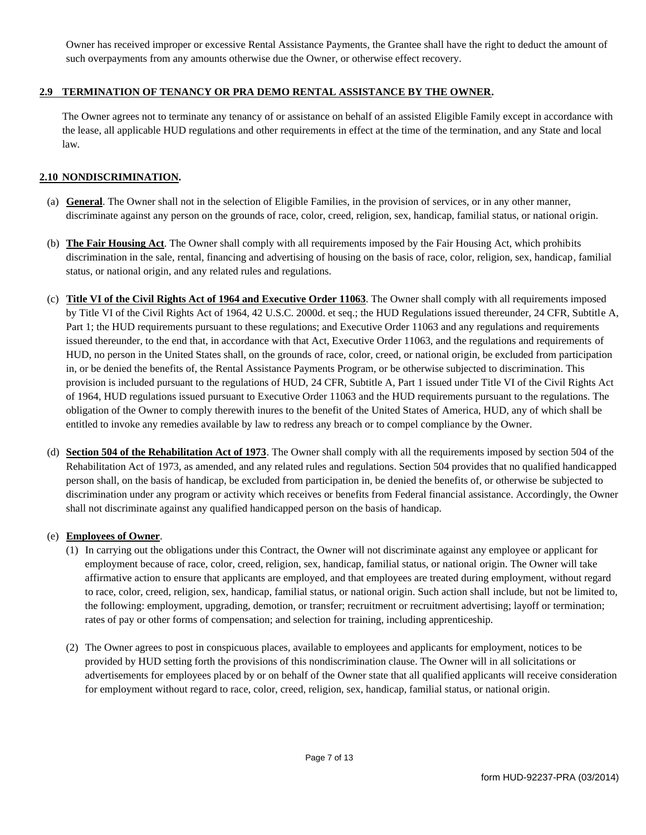Owner has received improper or excessive Rental Assistance Payments, the Grantee shall have the right to deduct the amount of such overpayments from any amounts otherwise due the Owner, or otherwise effect recovery.

### 2.9 TERMINATION OF TENANCY OR PRA DEMO RENTAL ASSISTANCE BY THE OWNER.

The Owner agrees not to terminate any tenancy of or assistance on behalf of an assisted Eligible Family except in accordance with the lease, all applicable HUD regulations and other requirements in effect at the time of the termination, and any State and local law.

### 2.10 NONDISCRIMINATION.

- (a) General. The Owner shall not in the selection of Eligible Families, in the provision of services, or in any other manner, discriminate against any person on the grounds of race, color, creed, religion, sex, handicap, familial status, or national origin.
- (b) The Fair Housing Act. The Owner shall comply with all requirements imposed by the Fair Housing Act, which prohibits discrimination in the sale, rental, financing and advertising of housing on the basis of race, color, religion, sex, handicap, familial status, or national origin, and any related rules and regulations.
- (c) Title VI of the Civil Rights Act of 1964 and Executive Order 11063. The Owner shall comply with all requirements imposed by Title VI of the Civil Rights Act of 1964, 42 U.S.C. 2000d. et seq.; the HUD Regulations issued thereunder, 24 CFR, Subtitle A, Part 1; the HUD requirements pursuant to these regulations; and Executive Order 11063 and any regulations and requirements issued thereunder, to the end that, in accordance with that Act, Executive Order 11063, and the regulations and requirements of HUD, no person in the United States shall, on the grounds of race, color, creed, or national origin, be excluded from participation in, or be denied the benefits of, the Rental Assistance Payments Program, or be otherwise subjected to discrimination. This provision is included pursuant to the regulations of HUD, 24 CFR, Subtitle A, Part 1 issued under Title VI of the Civil Rights Act of 1964, HUD regulations issued pursuant to Executive Order 11063 and the HUD requirements pursuant to the regulations. The obligation of the Owner to comply therewith inures to the benefit of the United States of America, HUD, any of which shall be entitled to invoke any remedies available by law to redress any breach or to compel compliance by the Owner.
- (d) Section 504 of the Rehabilitation Act of 1973. The Owner shall comply with all the requirements imposed by section 504 of the Rehabilitation Act of 1973, as amended, and any related rules and regulations. Section 504 provides that no qualified handicapped person shall, on the basis of handicap, be excluded from participation in, be denied the benefits of, or otherwise be subjected to discrimination under any program or activity which receives or benefits from Federal financial assistance. Accordingly, the Owner shall not discriminate against any qualified handicapped person on the basis of handicap.

### (e) **Employees of Owner.**

- (1) In carrying out the obligations under this Contract, the Owner will not discriminate against any employee or applicant for employment because of race, color, creed, religion, sex, handicap, familial status, or national origin. The Owner will take affirmative action to ensure that applicants are employed, and that employees are treated during employment, without regard to race, color, creed, religion, sex, handicap, familial status, or national origin. Such action shall include, but not be limited to, the following: employment, upgrading, demotion, or transfer; recruitment or recruitment advertising; layoff or termination; rates of pay or other forms of compensation; and selection for training, including apprenticeship.
- (2) The Owner agrees to post in conspicuous places, available to employees and applicants for employment, notices to be provided by HUD setting forth the provisions of this nondiscrimination clause. The Owner will in all solicitations or advertisements for employees placed by or on behalf of the Owner state that all qualified applicants will receive consideration for employment without regard to race, color, creed, religion, sex, handicap, familial status, or national origin.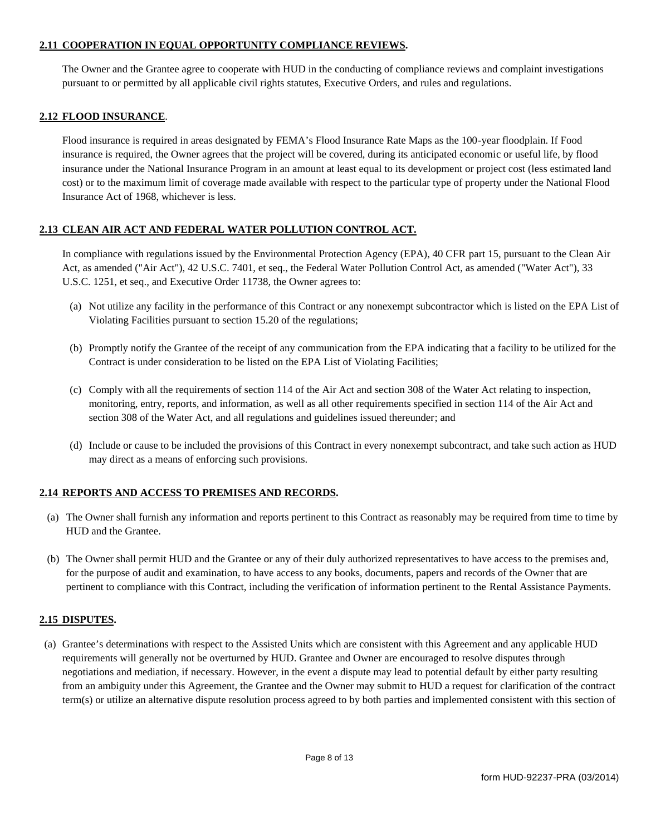### 2.11 COOPERATION IN EQUAL OPPORTUNITY COMPLIANCE REVIEWS.

The Owner and the Grantee agree to cooperate with HUD in the conducting of compliance reviews and complaint investigations pursuant to or permitted by all applicable civil rights statutes, Executive Orders, and rules and regulations.

### 2.12 FLOOD INSURANCE.

Flood insurance is required in areas designated by FEMA's Flood Insurance Rate Maps as the 100-year floodplain. If Food insurance is required, the Owner agrees that the project will be covered, during its anticipated economic or useful life, by flood insurance under the National Insurance Program in an amount at least equal to its development or project cost (less estimated land cost) or to the maximum limit of coverage made available with respect to the particular type of property under the National Flood Insurance Act of 1968, whichever is less.

### 2.13 CLEAN AIR ACT AND FEDERAL WATER POLLUTION CONTROL ACT.

In compliance with regulations issued by the Environmental Protection Agency (EPA), 40 CFR part 15, pursuant to the Clean Air Act, as amended ("Air Act"), 42 U.S.C. 7401, et seq., the Federal Water Pollution Control Act, as amended ("Water Act"), 33 U.S.C. 1251, et seq., and Executive Order 11738, the Owner agrees to:

- (a) Not utilize any facility in the performance of this Contract or any nonexempt subcontractor which is listed on the EPA List of Violating Facilities pursuant to section 15.20 of the regulations;
- (b) Promptly notify the Grantee of the receipt of any communication from the EPA indicating that a facility to be utilized for the Contract is under consideration to be listed on the EPA List of Violating Facilities;
- (c) Comply with all the requirements of section 114 of the Air Act and section 308 of the Water Act relating to inspection, monitoring, entry, reports, and information, as well as all other requirements specified in section 114 of the Air Act and section 308 of the Water Act, and all regulations and guidelines issued thereunder; and
- (d) Include or cause to be included the provisions of this Contract in every nonexempt subcontract, and take such action as HUD may direct as a means of enforcing such provisions.

### 2.14 REPORTS AND ACCESS TO PREMISES AND RECORDS.

- (a) The Owner shall furnish any information and reports pertinent to this Contract as reasonably may be required from time to time by HUD and the Grantee.
- (b) The Owner shall permit HUD and the Grantee or any of their duly authorized representatives to have access to the premises and, for the purpose of audit and examination, to have access to any books, documents, papers and records of the Owner that are pertinent to compliance with this Contract, including the verification of information pertinent to the Rental Assistance Payments.

### 2.15 DISPUTES.

(a) Grantee's determinations with respect to the Assisted Units which are consistent with this Agreement and any applicable HUD requirements will generally not be overturned by HUD. Grantee and Owner are encouraged to resolve disputes through negotiations and mediation, if necessary. However, in the event a dispute may lead to potential default by either party resulting from an ambiguity under this Agreement, the Grantee and the Owner may submit to HUD a request for clarification of the contract term(s) or utilize an alternative dispute resolution process agreed to by both parties and implemented consistent with this section of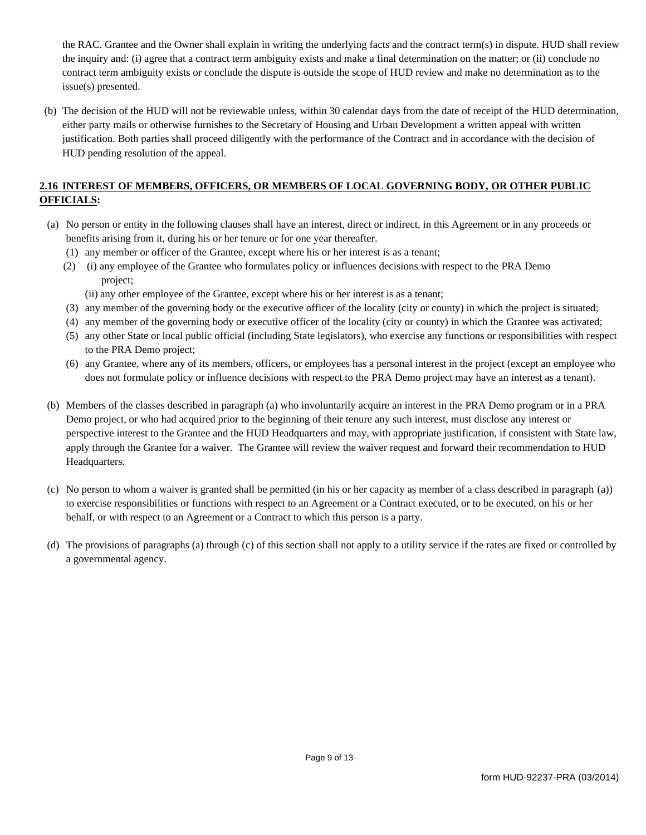the RAC. Grantee and the Owner shall explain in writing the underlying facts and the contract term(s) in dispute. HUD shall review the inquiry and: (i) agree that a contract term ambiguity exists and make a final determination on the matter; or (ii) conclude no contract term ambiguity exists or conclude the dispute is outside the scope of HUD review and make no determination as to the issue(s) presented.

(b) The decision of the HUD will not be reviewable unless, within 30 calendar days from the date of receipt of the HUD determination, either party mails or otherwise furnishes to the Secretary of Housing and Urban Development a written appeal with written justification. Both parties shall proceed diligently with the performance of the Contract and in accordance with the decision of HUD pending resolution of the appeal.

# 2.16 INTEREST OF MEMBERS, OFFICERS, OR MEMBERS OF LOCAL GOVERNING BODY, OR OTHER PUBLIC **OFFICIALS:**

- (a) No person or entity in the following clauses shall have an interest, direct or indirect, in this Agreement or in any proceeds or benefits arising from it, during his or her tenure or for one year thereafter.
	- (1) any member or officer of the Grantee, except where his or her interest is as a tenant;
	- (2) (i) any employee of the Grantee who formulates policy or influences decisions with respect to the PRA Demo project:
		- (ii) any other employee of the Grantee, except where his or her interest is as a tenant;
	- (3) any member of the governing body or the executive officer of the locality (city or county) in which the project is situated;
	- (4) any member of the governing body or executive officer of the locality (city or county) in which the Grantee was activated;
	- (5) any other State or local public official (including State legislators), who exercise any functions or responsibilities with respect to the PRA Demo project;
	- (6) any Grantee, where any of its members, officers, or employees has a personal interest in the project (except an employee who does not formulate policy or influence decisions with respect to the PRA Demo project may have an interest as a tenant).
- (b) Members of the classes described in paragraph (a) who involuntarily acquire an interest in the PRA Demo program or in a PRA Demo project, or who had acquired prior to the beginning of their tenure any such interest, must disclose any interest or perspective interest to the Grantee and the HUD Headquarters and may, with appropriate justification, if consistent with State law, apply through the Grantee for a waiver. The Grantee will review the waiver request and forward their recommendation to HUD Headquarters.
- (c) No person to whom a waiver is granted shall be permitted (in his or her capacity as member of a class described in paragraph (a)) to exercise responsibilities or functions with respect to an Agreement or a Contract executed, or to be executed, on his or her behalf, or with respect to an Agreement or a Contract to which this person is a party.
- (d) The provisions of paragraphs (a) through (c) of this section shall not apply to a utility service if the rates are fixed or controlled by a governmental agency.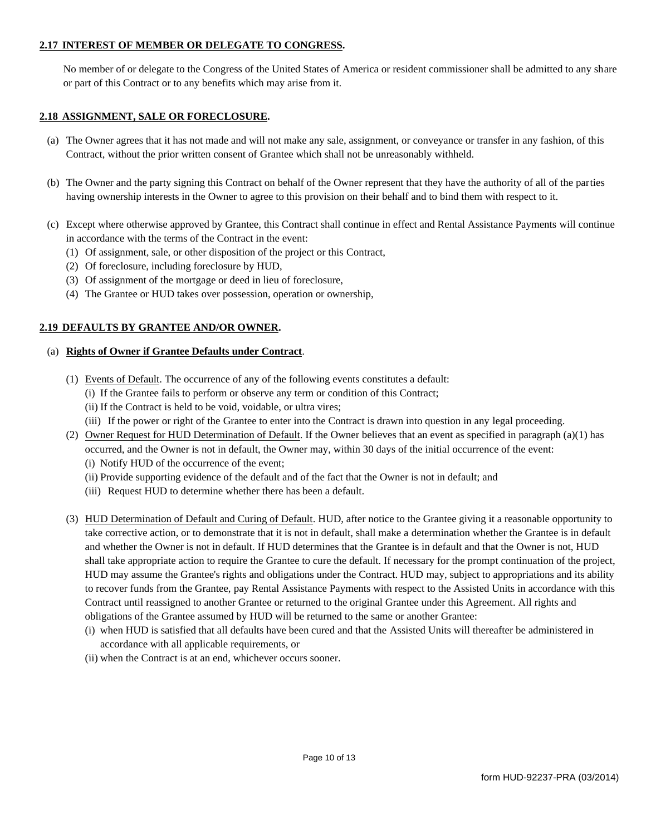### 2.17 INTEREST OF MEMBER OR DELEGATE TO CONGRESS.

No member of or delegate to the Congress of the United States of America or resident commissioner shall be admitted to any share or part of this Contract or to any benefits which may arise from it.

#### 2.18 ASSIGNMENT, SALE OR FORECLOSURE.

- (a) The Owner agrees that it has not made and will not make any sale, assignment, or conveyance or transfer in any fashion, of this Contract, without the prior written consent of Grantee which shall not be unreasonably withheld.
- (b) The Owner and the party signing this Contract on behalf of the Owner represent that they have the authority of all of the parties having ownership interests in the Owner to agree to this provision on their behalf and to bind them with respect to it.
- (c) Except where otherwise approved by Grantee, this Contract shall continue in effect and Rental Assistance Payments will continue in accordance with the terms of the Contract in the event:
	- (1) Of assignment, sale, or other disposition of the project or this Contract,
	- (2) Of foreclosure, including foreclosure by HUD,
	- (3) Of assignment of the mortgage or deed in lieu of foreclosure,
	- (4) The Grantee or HUD takes over possession, operation or ownership,

### 2.19 DEFAULTS BY GRANTEE AND/OR OWNER.

#### (a) Rights of Owner if Grantee Defaults under Contract.

- (1) Events of Default. The occurrence of any of the following events constitutes a default:
	- (i) If the Grantee fails to perform or observe any term or condition of this Contract;
	- (ii) If the Contract is held to be void, voidable, or ultra vires;
	- (iii) If the power or right of the Grantee to enter into the Contract is drawn into question in any legal proceeding.
- (2) Owner Request for HUD Determination of Default. If the Owner believes that an event as specified in paragraph (a)(1) has occurred, and the Owner is not in default, the Owner may, within 30 days of the initial occurrence of the event:
	- (i) Notify HUD of the occurrence of the event;
	- (ii) Provide supporting evidence of the default and of the fact that the Owner is not in default; and
	- (iii) Request HUD to determine whether there has been a default.
- (3) HUD Determination of Default and Curing of Default. HUD, after notice to the Grantee giving it a reasonable opportunity to take corrective action, or to demonstrate that it is not in default, shall make a determination whether the Grantee is in default and whether the Owner is not in default. If HUD determines that the Grantee is in default and that the Owner is not, HUD shall take appropriate action to require the Grantee to cure the default. If necessary for the prompt continuation of the project, HUD may assume the Grantee's rights and obligations under the Contract. HUD may, subject to appropriations and its ability to recover funds from the Grantee, pay Rental Assistance Payments with respect to the Assisted Units in accordance with this Contract until reassigned to another Grantee or returned to the original Grantee under this Agreement. All rights and obligations of the Grantee assumed by HUD will be returned to the same or another Grantee:
	- (i) when HUD is satisfied that all defaults have been cured and that the Assisted Units will thereafter be administered in accordance with all applicable requirements, or
	- (ii) when the Contract is at an end, whichever occurs sooner.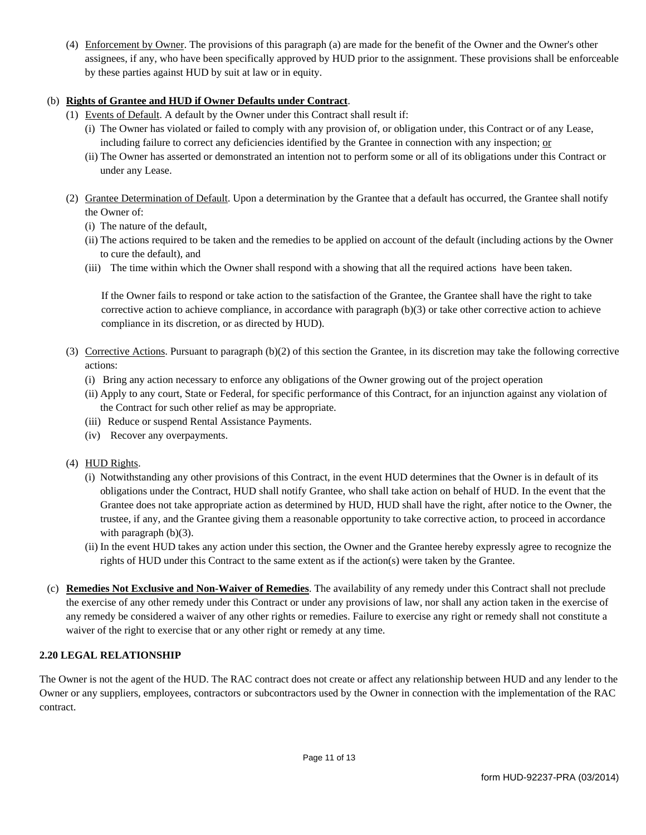(4) Enforcement by Owner. The provisions of this paragraph (a) are made for the benefit of the Owner and the Owner's other assignees, if any, who have been specifically approved by HUD prior to the assignment. These provisions shall be enforceable by these parties against HUD by suit at law or in equity.

# (b) Rights of Grantee and HUD if Owner Defaults under Contract.

- (1) Events of Default. A default by the Owner under this Contract shall result if:
	- (i) The Owner has violated or failed to comply with any provision of, or obligation under, this Contract or of any Lease, including failure to correct any deficiencies identified by the Grantee in connection with any inspection; or
	- (ii) The Owner has asserted or demonstrated an intention not to perform some or all of its obligations under this Contract or under any Lease.
- (2) Grantee Determination of Default. Upon a determination by the Grantee that a default has occurred, the Grantee shall notify the Owner of:
	- (i) The nature of the default,
	- (ii) The actions required to be taken and the remedies to be applied on account of the default (including actions by the Owner to cure the default), and
	- (iii) The time within which the Owner shall respond with a showing that all the required actions have been taken.

If the Owner fails to respond or take action to the satisfaction of the Grantee, the Grantee shall have the right to take corrective action to achieve compliance, in accordance with paragraph  $(b)(3)$  or take other corrective action to achieve compliance in its discretion, or as directed by HUD).

- (3) Corrective Actions. Pursuant to paragraph  $(b)(2)$  of this section the Grantee, in its discretion may take the following corrective actions:
	- (i) Bring any action necessary to enforce any obligations of the Owner growing out of the project operation
	- (ii) Apply to any court, State or Federal, for specific performance of this Contract, for an injunction against any violation of the Contract for such other relief as may be appropriate.
	- (iii) Reduce or suspend Rental Assistance Payments.
	- (iv) Recover any overpayments.
- (4) HUD Rights.
	- (i) Notwithstanding any other provisions of this Contract, in the event HUD determines that the Owner is in default of its obligations under the Contract, HUD shall notify Grantee, who shall take action on behalf of HUD. In the event that the Grantee does not take appropriate action as determined by HUD, HUD shall have the right, after notice to the Owner, the trustee, if any, and the Grantee giving them a reasonable opportunity to take corrective action, to proceed in accordance with paragraph  $(b)(3)$ .
	- (ii) In the event HUD takes any action under this section, the Owner and the Grantee hereby expressly agree to recognize the rights of HUD under this Contract to the same extent as if the action(s) were taken by the Grantee.
- (c) Remedies Not Exclusive and Non-Waiver of Remedies. The availability of any remedy under this Contract shall not preclude the exercise of any other remedy under this Contract or under any provisions of law, nor shall any action taken in the exercise of any remedy be considered a waiver of any other rights or remedies. Failure to exercise any right or remedy shall not constitute a waiver of the right to exercise that or any other right or remedy at any time.

### **2.20 LEGAL RELATIONSHIP**

The Owner is not the agent of the HUD. The RAC contract does not create or affect any relationship between HUD and any lender to the Owner or any suppliers, employees, contractors or subcontractors used by the Owner in connection with the implementation of the RAC contract.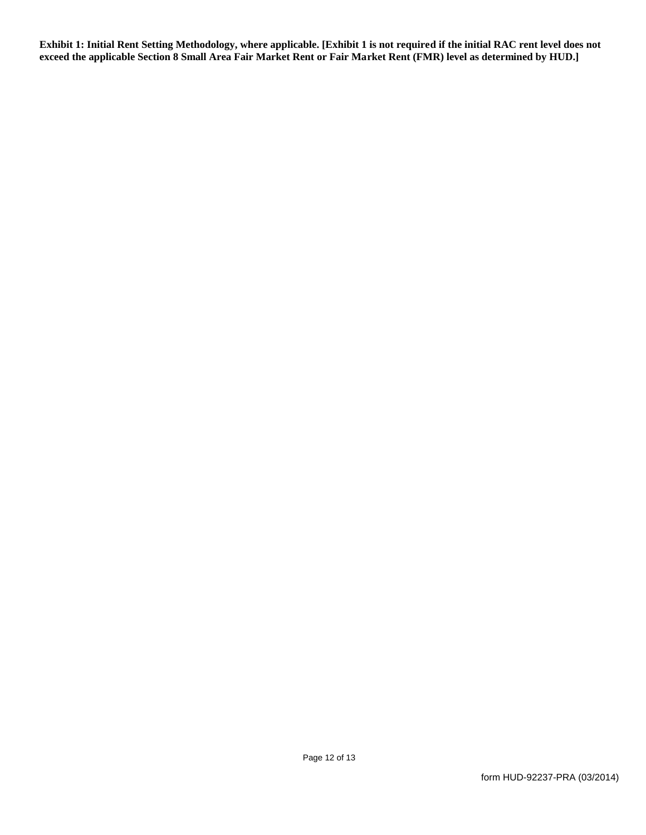Exhibit 1: Initial Rent Setting Methodology, where applicable. [Exhibit 1 is not required if the initial RAC rent level does not exceed the applicable Section 8 Small Area Fair Market Rent or Fair Market Rent (FMR) level as determined by HUD.]